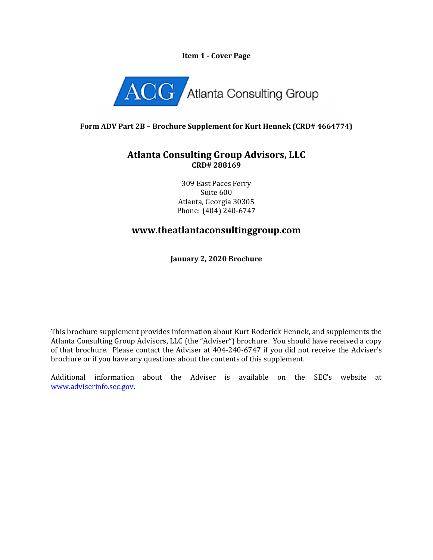### **Item 1 - Cover Page**



## **Form ADV Part 2B – Brochure Supplement for Kurt Hennek (CRD# 4664774)**

## **Atlanta Consulting Group Advisors, LLC CRD# 288169**

309 East Paces Ferry Suite 600 Atlanta, Georgia 30305 Phone: (404) 240-6747

# **www.theatlantaconsultinggroup.com**

**January 2, 2020 Brochure**

This brochure supplement provides information about Kurt Roderick Hennek, and supplements the Atlanta Consulting Group Advisors, LLC (the "Adviser") brochure. You should have received a copy of that brochure. Please contact the Adviser at 404-240-6747 if you did not receive the Adviser's brochure or if you have any questions about the contents of this supplement.

Additional information about the Adviser is available on the SEC's website at [www.adviserinfo.sec.gov.](http://www.adviserinfo.sec.gov/)